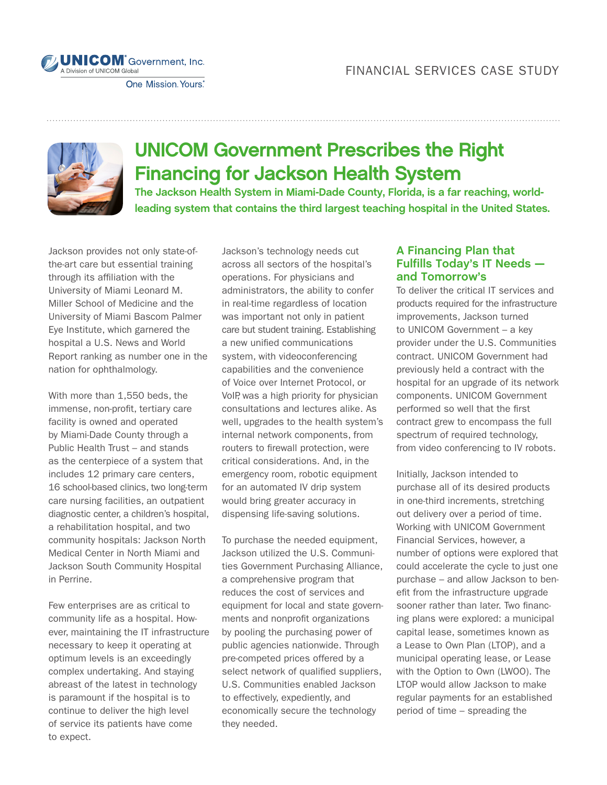



## UNICOM Government Prescribes the Right Financing for Jackson Health System

**The Jackson Health System in Miami-Dade County, Florida, is a far reaching, worldleading system that contains the third largest teaching hospital in the United States.** 

Jackson provides not only state-ofthe-art care but essential training through its affiliation with the University of Miami Leonard M. Miller School of Medicine and the University of Miami Bascom Palmer Eye Institute, which garnered the hospital a U.S. News and World Report ranking as number one in the nation for ophthalmology.

With more than 1,550 beds, the immense, non-profit, tertiary care facility is owned and operated by Miami-Dade County through a Public Health Trust – and stands as the centerpiece of a system that includes 12 primary care centers, 16 school-based clinics, two long-term care nursing facilities, an outpatient diagnostic center, a children's hospital, a rehabilitation hospital, and two community hospitals: Jackson North Medical Center in North Miami and Jackson South Community Hospital in Perrine.

Few enterprises are as critical to community life as a hospital. However, maintaining the IT infrastructure necessary to keep it operating at optimum levels is an exceedingly complex undertaking. And staying abreast of the latest in technology is paramount if the hospital is to continue to deliver the high level of service its patients have come to expect.

Jackson's technology needs cut across all sectors of the hospital's operations. For physicians and administrators, the ability to confer in real-time regardless of location was important not only in patient care but student training. Establishing a new unified communications system, with videoconferencing capabilities and the convenience of Voice over Internet Protocol, or VoIP, was a high priority for physician consultations and lectures alike. As well, upgrades to the health system's internal network components, from routers to firewall protection, were critical considerations. And, in the emergency room, robotic equipment for an automated IV drip system would bring greater accuracy in dispensing life-saving solutions.

To purchase the needed equipment, Jackson utilized the U.S. Communities Government Purchasing Alliance, a comprehensive program that reduces the cost of services and equipment for local and state governments and nonprofit organizations by pooling the purchasing power of public agencies nationwide. Through pre-competed prices offered by a select network of qualified suppliers, U.S. Communities enabled Jackson to effectively, expediently, and economically secure the technology they needed.

## **A Financing Plan that Fulfills Today's IT Needs and Tomorrow's**

To deliver the critical IT services and products required for the infrastructure improvements, Jackson turned to UNICOM Government – a key provider under the U.S. Communities contract. UNICOM Government had previously held a contract with the hospital for an upgrade of its network components. UNICOM Government performed so well that the first contract grew to encompass the full spectrum of required technology, from video conferencing to IV robots.

Initially, Jackson intended to purchase all of its desired products in one-third increments, stretching out delivery over a period of time. Working with UNICOM Government Financial Services, however, a number of options were explored that could accelerate the cycle to just one purchase – and allow Jackson to benefit from the infrastructure upgrade sooner rather than later. Two financing plans were explored: a municipal capital lease, sometimes known as a Lease to Own Plan (LTOP), and a municipal operating lease, or Lease with the Option to Own (LWOO). The LTOP would allow Jackson to make regular payments for an established period of time – spreading the